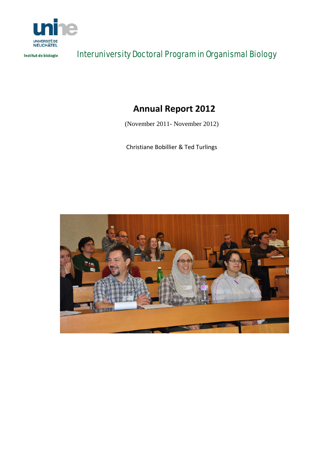

Institut de biologie

# Interuniversity Doctoral Program in Organismal Biology

# **Annual Report 2012**

(November 2011- November 2012)

Christiane Bobillier & Ted Turlings

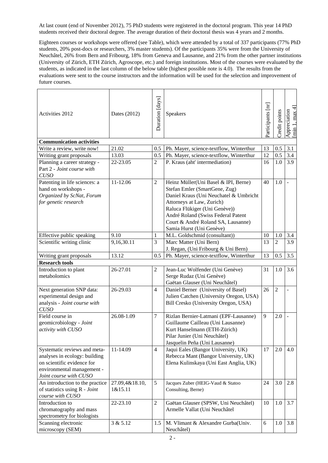At last count (end of November 2012), 75 PhD students were registered in the doctoral program. This year 14 PhD students received their doctoral degree. The average duration of their doctoral thesis was 4 years and 2 months.

Eighteen courses or workshops were offered (see Table), which were attended by a total of 337 participants (77% PhD students, 20% post-docs or researchers, 3% master students). Of the participants 35% were from the University of Neuchâtel, 26% from Bern and Fribourg, 18% from Geneva and Lausanne, and 21% from the other partner institutions (University of Zürich, ETH Zürich, Agroscope, etc.) and foreign institutions. Most of the courses were evaluated by the students, as indicated in the last column of the below table (highest possible note is 4.0). The results from the evaluations were sent to the course instructors and the information will be used for the selection and improvement of future courses.

| <b>Activities 2012</b>                                                                                                                              | Dates (2012)              | Duration [days] | Speakers                                                                                                                                                                                                                                                                              | Participants [nr] | Credit points  | max 4<br>Appreciation<br>[min 1, max 4 |  |  |  |  |  |
|-----------------------------------------------------------------------------------------------------------------------------------------------------|---------------------------|-----------------|---------------------------------------------------------------------------------------------------------------------------------------------------------------------------------------------------------------------------------------------------------------------------------------|-------------------|----------------|----------------------------------------|--|--|--|--|--|
| <b>Communication activities</b>                                                                                                                     |                           |                 |                                                                                                                                                                                                                                                                                       |                   |                |                                        |  |  |  |  |  |
| Write a review, write now!                                                                                                                          | 21.02                     | 0.5             | Ph. Mayer, science-textflow, Winterthur                                                                                                                                                                                                                                               | 13                | 0.5            | 3.1                                    |  |  |  |  |  |
| Writing grant proposals                                                                                                                             | 13.03                     | 0.5             | Ph. Mayer, science-textflow, Winterthur                                                                                                                                                                                                                                               | 12                | 0.5            | 3.4                                    |  |  |  |  |  |
| Planning a career strategy -<br>Part 2 - Joint course with<br><b>CUSO</b>                                                                           | 22-23.05                  | 2               | P. Kraus (aht' intermediation)                                                                                                                                                                                                                                                        | 16                | 1.0            | 3.9                                    |  |  |  |  |  |
| Patenting in life sciences: a<br>hand on workshops -<br>Organized by ScNat, Forum<br>for genetic research                                           | 11-12.06                  | $\overline{2}$  | Heinz Müller(Uni Basel & IPI, Berne)<br>Stefan Emler (SmartGene, Zug)<br>Daniel Kraus (Uni Neuchatel & Umbricht<br>Attorneys at Law, Zurich)<br>Raluca Flükiger (Uni Genève))<br>André Roland (Swiss Federal Patent<br>Court & André Roland SA, Lausanne)<br>Samia Hurst (Uni Genève) | 40                | 1.0            |                                        |  |  |  |  |  |
| Effective public speaking                                                                                                                           | 9.10                      | 1               | M.L. Goldschmid (consultant))                                                                                                                                                                                                                                                         | 10                | 1.0            | 3.4                                    |  |  |  |  |  |
| Scientific writing clinic                                                                                                                           | 9,16,30.11                | 3               | Marc Matter (Uni Bern)<br>J. Regan, (Uni Fribourg & Uni Bern)                                                                                                                                                                                                                         | 13                | 2              | 3.9                                    |  |  |  |  |  |
| Writing grant proposals                                                                                                                             | 13.12                     | 0.5             | Ph. Mayer, science-textflow, Winterthur                                                                                                                                                                                                                                               | 13                | 0.5            | 3.5                                    |  |  |  |  |  |
| <b>Research tools</b>                                                                                                                               |                           |                 |                                                                                                                                                                                                                                                                                       |                   |                |                                        |  |  |  |  |  |
| Introduction to plant<br>metabolomics                                                                                                               | 26-27.01                  | 2               | Jean-Luc Wolfender (Uni Genève)<br>Serge Rudaz (Uni Genève)<br>Gaëtan Glauser (Uni Neuchâtel)                                                                                                                                                                                         | 31                | 1.0            | 3.6                                    |  |  |  |  |  |
| Next generation SNP data:<br>experimental design and<br>analysis - Joint course with<br><b>CUSO</b>                                                 | 26-29.03                  | $\overline{4}$  | Daniel Berner (University of Basel)<br>Julien Catchen (University Oregon, USA)<br>Bill Cresko (University Oregon, USA)                                                                                                                                                                | 26                | $\overline{2}$ |                                        |  |  |  |  |  |
| Field course in<br>geomicrobiology - Joint<br>activity with CUSO                                                                                    | 26.08-1.09                | 7               | Rizlan Bernier-Latmani (EPF-Lausanne)<br>Guillaume Cailleau (Uni Lausanne)<br>Kurt Hanselmann (ETH-Zürich)<br>Pilar Junier (Uni Neuchâtel)<br>Jasquelin Peña (Uni Lausanne)                                                                                                           | 9                 | 2.0            |                                        |  |  |  |  |  |
| Systematic reviews and meta-<br>analyses in ecology: building<br>on scientific evidence for<br>environmental management -<br>Joint course with CUSO | 11-14.09                  | $\overline{4}$  | Jaqui Eales (Bangor University, UK)<br>Rebecca Mant (Bangor University, UK)<br>Elena Kulinskaya (Uni East Anglia, UK)                                                                                                                                                                 | 17                | 2.0            | 4.0                                    |  |  |  |  |  |
| An introduction to the practice<br>of statistics using R - Joint<br>course with CUSO                                                                | 27.09,4&18.10,<br>1&15.11 | 5               | Jacques Zuber (HEIG-Vaud & Statoo<br>Consulting, Berne)                                                                                                                                                                                                                               | 24                | 3.0            | 2.8                                    |  |  |  |  |  |
| Introduction to<br>chromatography and mass<br>spectrometry for biologists                                                                           | 22-23.10                  | $\overline{c}$  | Gaëtan Glauser (SPSW, Uni Neuchâtel)<br>Armelle Vallat (Uni Neuchâtel                                                                                                                                                                                                                 | 10                | 1.0            | 3.7                                    |  |  |  |  |  |
| Scanning electronic<br>microscopy (SEM)                                                                                                             | 3 & 5.12                  | 1.5             | M. Vlimant & Alexandre Gurba(Univ.<br>Neuchâtel)                                                                                                                                                                                                                                      | 6                 | 1.0            | 3.8                                    |  |  |  |  |  |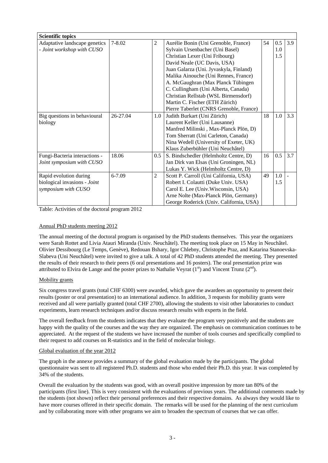| <b>Scientific topics</b>      |            |                |                                         |    |     |     |  |  |  |
|-------------------------------|------------|----------------|-----------------------------------------|----|-----|-----|--|--|--|
| Adaptative landscape genetics | $7 - 8.02$ | $\overline{c}$ | Aurélie Bonin (Uni Grenoble, France)    | 54 | 0.5 | 3.9 |  |  |  |
| - Joint workshop with CUSO    |            |                | Sylvain Ursenbacher (Uni Basel)         |    | 1.0 |     |  |  |  |
|                               |            |                | Christian Lexer (Uni Fribourg)          |    | 1.5 |     |  |  |  |
|                               |            |                | David Neale (UC Davis, USA)             |    |     |     |  |  |  |
|                               |            |                | Juan Galarza (Uni. Jyvaskyla, Finland)  |    |     |     |  |  |  |
|                               |            |                | Malika Ainouche (Uni Rennes, France)    |    |     |     |  |  |  |
|                               |            |                | A. McGaughran (Max Planck Tübingen      |    |     |     |  |  |  |
|                               |            |                | C. Cullingham (Uni Alberta, Canada)     |    |     |     |  |  |  |
|                               |            |                | Christian Rellstab (WSL Birmensdorf)    |    |     |     |  |  |  |
|                               |            |                | Martin C. Fischer (ETH Zürich)          |    |     |     |  |  |  |
|                               |            |                | Pierre Taberlet (CNRS Grenoble, France) |    |     |     |  |  |  |
| Big questions in behavioural  | 26-27.04   | 1.0            | Judith Burkart (Uni Zürich)             | 18 | 1.0 | 3.3 |  |  |  |
| biology                       |            |                | Laurent Keller (Uni Lausanne)           |    |     |     |  |  |  |
|                               |            |                | Manfred Milinski, Max-Planck Plön, D)   |    |     |     |  |  |  |
|                               |            |                | Tom Sherratt (Uni Carleton, Canada)     |    |     |     |  |  |  |
|                               |            |                | Nina Wedell (University of Exeter, UK)  |    |     |     |  |  |  |
|                               |            |                | Klaus Zuberbühler (Uni Neuchâtel)       |    |     |     |  |  |  |
| Fungi-Bacteria interactions - | 18.06      | 0.5            | S. Bindschedler (Helmholtz Centre, D)   | 16 | 0.5 | 3.7 |  |  |  |
| Joint symposium with CUSO     |            |                | Jan Dirk van Elsas (Uni Groningen, NL)  |    |     |     |  |  |  |
|                               |            |                | Lukas Y. Wick (Helmholtz Centre, D)     |    |     |     |  |  |  |
| Rapid evolution during        | 6-7.09     | 2              | Scott P. Carroll (Uni California, USA)  | 49 | 1.0 |     |  |  |  |
| biological invasions - Joint  |            |                | Robert I. Colautti (Duke Univ. USA)     |    | 1.5 |     |  |  |  |
| symposium with CUSO           |            |                | Carol E. Lee (Univ. Wisconsin, USA)     |    |     |     |  |  |  |
|                               |            |                | Arne Nolte (Max-Planck Plön, Germany)   |    |     |     |  |  |  |
|                               |            |                | George Roderick (Univ. California, USA) |    |     |     |  |  |  |

Table: Activities of the doctoral program 2012

## Annual PhD students meeting 2012

The annual meeting of the doctoral program is organised by the PhD students themselves. This year the organizers were Sarah Rottet and Livia Atauri Miranda (Univ. Neuchâtel). The meeting took place on 15 May in Neuchâtel. Olivier Dessibourg (Le Temps, Genève), Redouan Bshary, Igor Chlebny, Christophe Praz, and Katarina Stanoevska-Slabeva (Uni Neuchâtel) were invited to give a talk. A total of 42 PhD students attended the meeting. They presented the results of their research to their peers (6 oral presentations and 16 posters). The oral presentation prize was attributed to Elvira de Lange and the poster prizes to Nathalie Veyrat  $(1<sup>st</sup>)$  and Vincent Trunz  $(2<sup>nd</sup>)$ .

## Mobility grants

Six congress travel grants (total CHF 6300) were awarded, which gave the awardees an opportunity to present their results (poster or oral presentation) to an international audience. In addition, 3 requests for mobility grants were received and all were partially granted (total CHF 2700), allowing the students to visit other laboratories to conduct experiments, learn research techniques and/or discuss research results with experts in the field.

The overall feedback from the students indicates that they evaluate the program very positively and the students are happy with the quality of the courses and the way they are organized. The emphasis on communication continues to be appreciated. At the request of the students we have increased the number of tools courses and specifically complied to their request to add courses on R-statistics and in the field of molecular biology.

## Global evaluation of the year 2012

The graph in the annexe provides a summary of the global evaluation made by the participants. The global questionnaire was sent to all registered Ph.D. students and those who ended their Ph.D. this year. It was completed by 34% of the students.

Overall the evaluation by the students was good, with an overall positive impression by more tan 80% of the participants (first line). This is very consistent with the evaluations of previous years. The additional comments made by the students (not shown) reflect their personal preferences and their respective domains. As always they would like to have more courses offered in their specific domain. The remarks will be used for the planning of the next curriculum and by collaborating more with other programs we aim to broaden the spectrum of courses that we can offer.